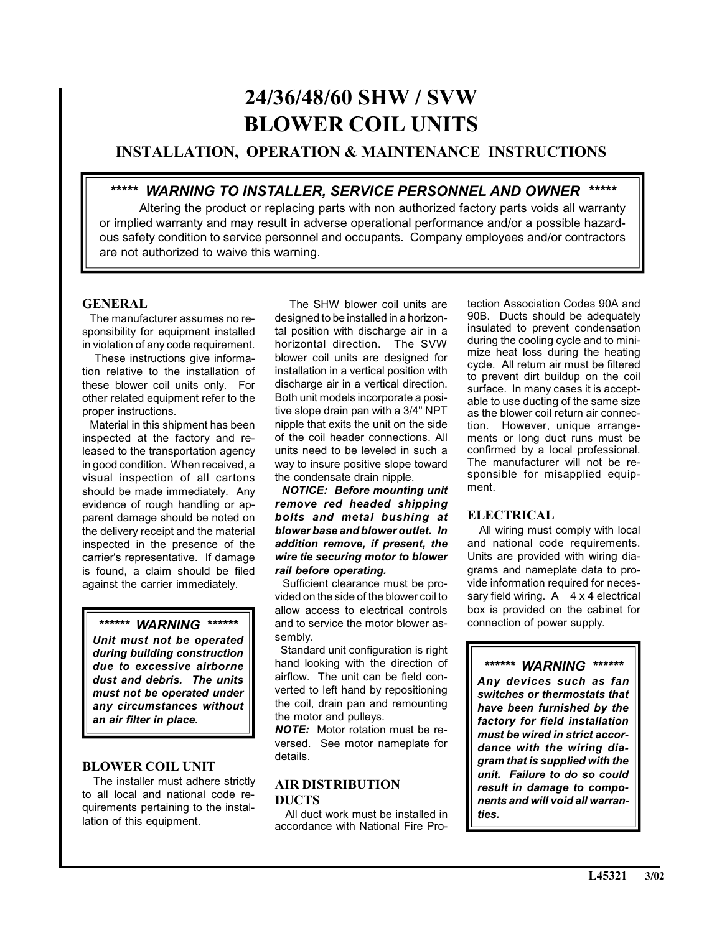# **24/36/48/60 SHW / SVW BLOWER COIL UNITS**

# **INSTALLATION, OPERATION & MAINTENANCE INSTRUCTIONS**

# *\*\*\*\*\* WARNING TO INSTALLER, SERVICE PERSONNEL AND OWNER \*\*\*\*\**

Altering the product or replacing parts with non authorized factory parts voids all warranty or implied warranty and may result in adverse operational performance and/or a possible hazardous safety condition to service personnel and occupants. Company employees and/or contractors are not authorized to waive this warning.

# **GENERAL**

 The manufacturer assumes no responsibility for equipment installed in violation of any code requirement.

 These instructions give information relative to the installation of these blower coil units only. For other related equipment refer to the proper instructions.

 Material in this shipment has been inspected at the factory and released to the transportation agency in good condition. When received, a visual inspection of all cartons should be made immediately. Any evidence of rough handling or apparent damage should be noted on the delivery receipt and the material inspected in the presence of the carrier's representative. If damage is found, a claim should be filed against the carrier immediately.

# *\*\*\*\*\*\* WARNING \*\*\*\*\*\**

*Unit must not be operated during building construction due to excessive airborne dust and debris. The units must not be operated under any circumstances without an air filter in place.*

## **BLOWER COIL UNIT**

 The installer must adhere strictly to all local and national code requirements pertaining to the installation of this equipment.

 The SHW blower coil units are designed to be installed in a horizontal position with discharge air in a horizontal direction. The SVW blower coil units are designed for installation in a vertical position with discharge air in a vertical direction. Both unit models incorporate a positive slope drain pan with a 3/4" NPT nipple that exits the unit on the side of the coil header connections. All units need to be leveled in such a way to insure positive slope toward the condensate drain nipple.

 *NOTICE: Before mounting unit remove red headed shipping bolts and metal bushing at blower base and blower outlet. In addition remove, if present, the wire tie securing motor to blower rail before operating.*

 Sufficient clearance must be provided on the side of the blower coil to allow access to electrical controls and to service the motor blower assembly.

Standard unit configuration is right hand looking with the direction of airflow. The unit can be field converted to left hand by repositioning the coil, drain pan and remounting the motor and pulleys.

*NOTE:* Motor rotation must be reversed. See motor nameplate for details.

# **AIR DISTRIBUTION DUCTS**

 All duct work must be installed in accordance with National Fire Protection Association Codes 90A and 90B. Ducts should be adequately insulated to prevent condensation during the cooling cycle and to minimize heat loss during the heating cycle. All return air must be filtered to prevent dirt buildup on the coil surface. In many cases it is acceptable to use ducting of the same size as the blower coil return air connection. However, unique arrangements or long duct runs must be confirmed by a local professional. The manufacturer will not be responsible for misapplied equipment.

# **ELECTRICAL**

 All wiring must comply with local and national code requirements. Units are provided with wiring diagrams and nameplate data to provide information required for necessary field wiring.  $A \times 4$  electrical box is provided on the cabinet for connection of power supply.

*\*\*\*\*\*\* WARNING \*\*\*\*\*\* Any devices such as fan switches or thermostats that have been furnished by the factory for field installation must be wired in strict accordance with the wiring diagram that is supplied with the unit. Failure to do so could result in damage to components and will void all warranties.*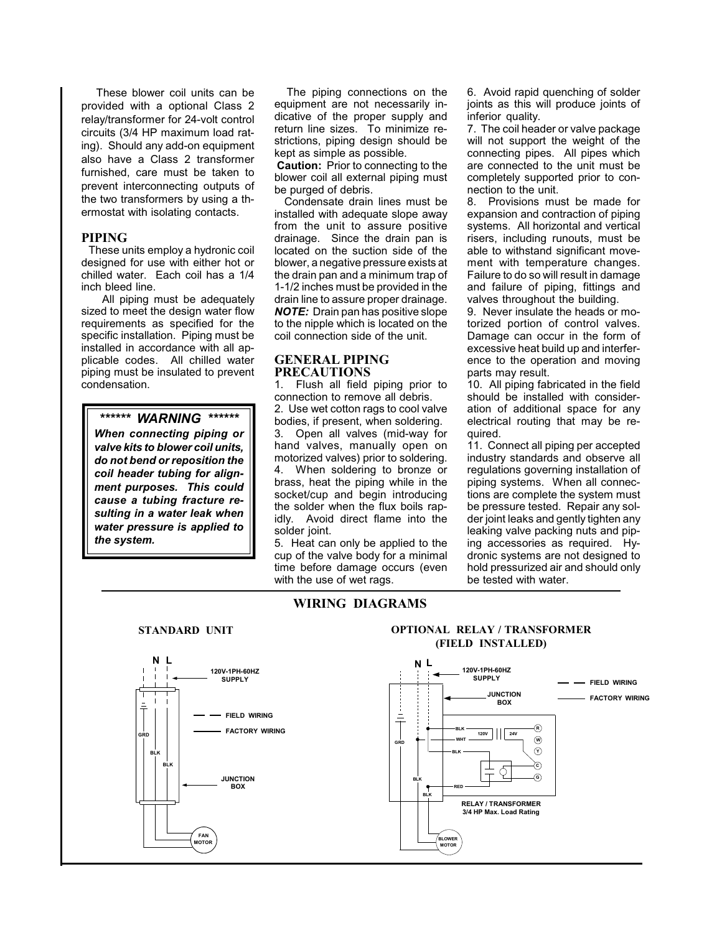These blower coil units can be provided with a optional Class 2 relay/transformer for 24-volt control circuits (3/4 HP maximum load rating). Should any add-on equipment also have a Class 2 transformer furnished, care must be taken to prevent interconnecting outputs of the two transformers by using a thermostat with isolating contacts.

#### **PIPING**

 These units employ a hydronic coil designed for use with either hot or chilled water. Each coil has a 1/4 inch bleed line.

 All piping must be adequately sized to meet the design water flow requirements as specified for the specific installation. Piping must be installed in accordance with all applicable codes. All chilled water piping must be insulated to prevent condensation.

## *\*\*\*\*\*\* WARNING \*\*\*\*\*\**

*When connecting piping or valve kits to blower coil units, do not bend or reposition the coil header tubing for alignment purposes. This could cause a tubing fracture resulting in a water leak when water pressure is applied to the system.*

 The piping connections on the equipment are not necessarily indicative of the proper supply and return line sizes. To minimize restrictions, piping design should be kept as simple as possible.

**Caution:** Prior to connecting to the blower coil all external piping must be purged of debris.

 Condensate drain lines must be installed with adequate slope away from the unit to assure positive drainage. Since the drain pan is located on the suction side of the blower, a negative pressure exists at the drain pan and a minimum trap of 1-1/2 inches must be provided in the drain line to assure proper drainage. *NOTE:* Drain pan has positive slope to the nipple which is located on the coil connection side of the unit.

#### **GENERAL PIPING PRECAUTIONS**

1. Flush all field piping prior to connection to remove all debris. 2. Use wet cotton rags to cool valve bodies, if present, when soldering. 3. Open all valves (mid-way for hand valves, manually open on motorized valves) prior to soldering. 4. When soldering to bronze or brass, heat the piping while in the socket/cup and begin introducing the solder when the flux boils rapidly. Avoid direct flame into the solder joint.

5. Heat can only be applied to the cup of the valve body for a minimal time before damage occurs (even with the use of wet rags.

**WIRING DIAGRAMS**

6. Avoid rapid quenching of solder joints as this will produce joints of inferior quality.

7. The coil header or valve package will not support the weight of the connecting pipes. All pipes which are connected to the unit must be completely supported prior to connection to the unit.

8. Provisions must be made for expansion and contraction of piping systems. All horizontal and vertical risers, including runouts, must be able to withstand significant movement with temperature changes. Failure to do so will result in damage and failure of piping, fittings and valves throughout the building.

9. Never insulate the heads or motorized portion of control valves. Damage can occur in the form of excessive heat build up and interference to the operation and moving parts may result.

10. All piping fabricated in the field should be installed with consideration of additional space for any electrical routing that may be required.

11. Connect all piping per accepted industry standards and observe all regulations governing installation of piping systems. When all connections are complete the system must be pressure tested. Repair any solder joint leaks and gently tighten any leaking valve packing nuts and piping accessories as required. Hydronic systems are not designed to hold pressurized air and should only be tested with water.



#### **STANDARD UNIT OPTIONAL RELAY / TRANSFORMER (FIELD INSTALLED)**

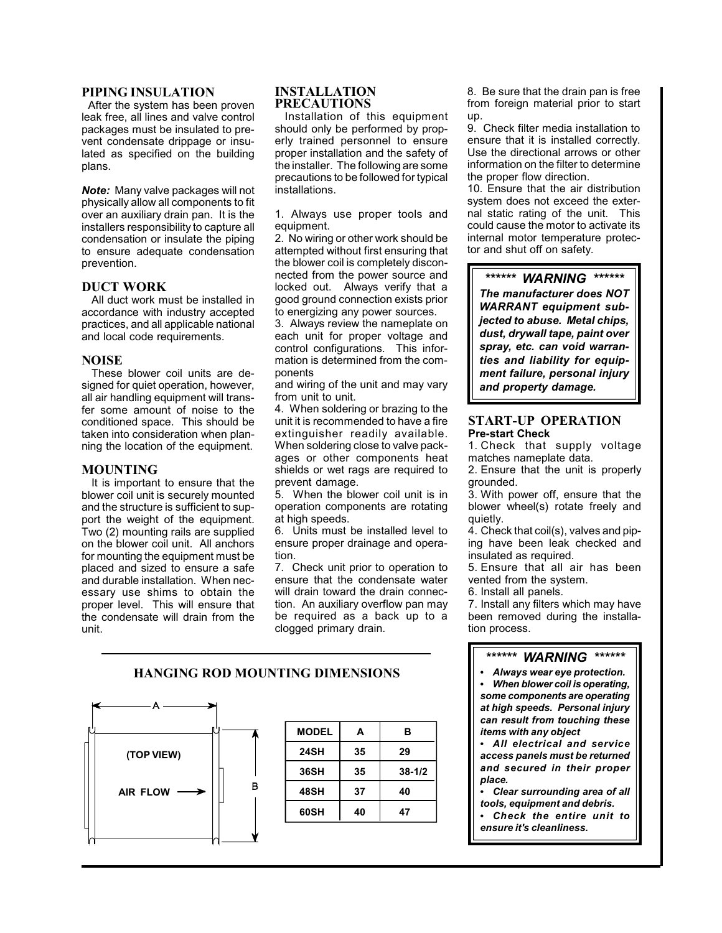#### **PIPING INSULATION**

 After the system has been proven leak free, all lines and valve control packages must be insulated to prevent condensate drippage or insulated as specified on the building plans.

*Note:* Many valve packages will not physically allow all components to fit over an auxiliary drain pan. It is the installers responsibility to capture all condensation or insulate the piping to ensure adequate condensation prevention.

#### **DUCT WORK**

All duct work must be installed in accordance with industry accepted practices, and all applicable national and local code requirements.

#### **NOISE**

These blower coil units are designed for quiet operation, however, all air handling equipment will transfer some amount of noise to the conditioned space. This should be taken into consideration when planning the location of the equipment.

## **MOUNTING**

It is important to ensure that the blower coil unit is securely mounted and the structure is sufficient to support the weight of the equipment. Two (2) mounting rails are supplied on the blower coil unit. All anchors for mounting the equipment must be placed and sized to ensure a safe and durable installation. When necessary use shims to obtain the proper level. This will ensure that the condensate will drain from the unit.

#### **INSTALLATION PRECAUTIONS**

Installation of this equipment should only be performed by properly trained personnel to ensure proper installation and the safety of the installer. The following are some precautions to be followed for typical installations.

1. Always use proper tools and equipment.

2. No wiring or other work should be attempted without first ensuring that the blower coil is completely disconnected from the power source and locked out. Always verify that a good ground connection exists prior to energizing any power sources.

3. Always review the nameplate on each unit for proper voltage and control configurations. This information is determined from the components

and wiring of the unit and may vary from unit to unit.

4. When soldering or brazing to the unit it is recommended to have a fire extinguisher readily available. When soldering close to valve packages or other components heat shields or wet rags are required to prevent damage.

5. When the blower coil unit is in operation components are rotating at high speeds.

6. Units must be installed level to ensure proper drainage and operation.

7. Check unit prior to operation to ensure that the condensate water will drain toward the drain connection. An auxiliary overflow pan may be required as a back up to a clogged primary drain.

8. Be sure that the drain pan is free from foreign material prior to start up.

9. Check filter media installation to ensure that it is installed correctly. Use the directional arrows or other information on the filter to determine the proper flow direction.

10. Ensure that the air distribution system does not exceed the external static rating of the unit. This could cause the motor to activate its internal motor temperature protector and shut off on safety.

*\*\*\*\*\*\* WARNING \*\*\*\*\*\* The manufacturer does NOT WARRANT equipment subjected to abuse. Metal chips, dust, drywall tape, paint over spray, etc. can void warranties and liability for equipment failure, personal injury and property damage.*

## **START-UP OPERATION Pre-start Check**

1. Check that supply voltage matches nameplate data.

2. Ensure that the unit is properly grounded.

3. With power off, ensure that the blower wheel(s) rotate freely and quietly.

4. Check that coil(s), valves and piping have been leak checked and insulated as required.

5. Ensure that all air has been vented from the system.

6. Install all panels.

7. Install any filters which may have been removed during the installation process.

#### *\*\*\*\*\*\* WARNING \*\*\*\*\*\**

 *Always wear eye protection. When blower coil is operating, some components are operating at high speeds. Personal injury can result from touching these items with any object*

 *All electrical and service access panels must be returned and secured in their proper place.*

 *Clear surrounding area of all tools, equipment and debris. Check the entire unit to ensure it's cleanliness.*

## **HANGING ROD MOUNTING DIMENSIONS**



| <b>MODEL</b> | А  | в          |
|--------------|----|------------|
| 24SH         | 35 | 29         |
| 36SH         | 35 | $38 - 1/2$ |
| 48SH         | 37 | 40         |
| 60SH         | 40 | 47         |